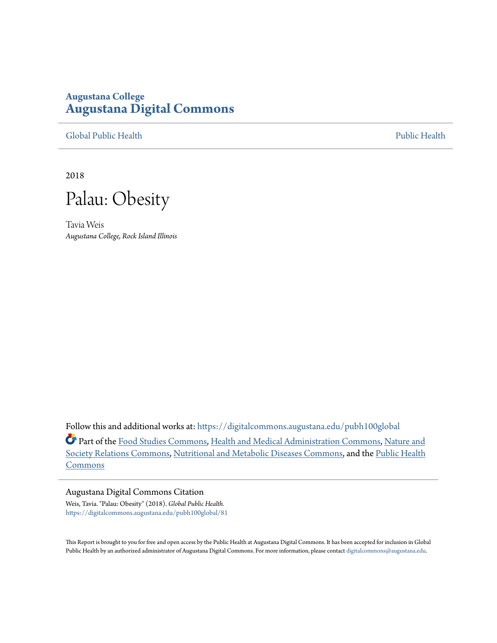# **Augustana College [Augustana Digital Commons](https://digitalcommons.augustana.edu?utm_source=digitalcommons.augustana.edu%2Fpubh100global%2F81&utm_medium=PDF&utm_campaign=PDFCoverPages)**

[Global Public Health](https://digitalcommons.augustana.edu/pubh100global?utm_source=digitalcommons.augustana.edu%2Fpubh100global%2F81&utm_medium=PDF&utm_campaign=PDFCoverPages) [Public Health](https://digitalcommons.augustana.edu/publichealth?utm_source=digitalcommons.augustana.edu%2Fpubh100global%2F81&utm_medium=PDF&utm_campaign=PDFCoverPages)

2018

Palau: Obesity

Tavia Weis *Augustana College, Rock Island Illinois*

Follow this and additional works at: [https://digitalcommons.augustana.edu/pubh100global](https://digitalcommons.augustana.edu/pubh100global?utm_source=digitalcommons.augustana.edu%2Fpubh100global%2F81&utm_medium=PDF&utm_campaign=PDFCoverPages)

Part of the [Food Studies Commons,](http://network.bepress.com/hgg/discipline/1386?utm_source=digitalcommons.augustana.edu%2Fpubh100global%2F81&utm_medium=PDF&utm_campaign=PDFCoverPages) [Health and Medical Administration Commons,](http://network.bepress.com/hgg/discipline/663?utm_source=digitalcommons.augustana.edu%2Fpubh100global%2F81&utm_medium=PDF&utm_campaign=PDFCoverPages) [Nature and](http://network.bepress.com/hgg/discipline/357?utm_source=digitalcommons.augustana.edu%2Fpubh100global%2F81&utm_medium=PDF&utm_campaign=PDFCoverPages) [Society Relations Commons](http://network.bepress.com/hgg/discipline/357?utm_source=digitalcommons.augustana.edu%2Fpubh100global%2F81&utm_medium=PDF&utm_campaign=PDFCoverPages), [Nutritional and Metabolic Diseases Commons](http://network.bepress.com/hgg/discipline/1003?utm_source=digitalcommons.augustana.edu%2Fpubh100global%2F81&utm_medium=PDF&utm_campaign=PDFCoverPages), and the [Public Health](http://network.bepress.com/hgg/discipline/738?utm_source=digitalcommons.augustana.edu%2Fpubh100global%2F81&utm_medium=PDF&utm_campaign=PDFCoverPages) [Commons](http://network.bepress.com/hgg/discipline/738?utm_source=digitalcommons.augustana.edu%2Fpubh100global%2F81&utm_medium=PDF&utm_campaign=PDFCoverPages)

### Augustana Digital Commons Citation

Weis, Tavia. "Palau: Obesity" (2018). *Global Public Health.* [https://digitalcommons.augustana.edu/pubh100global/81](https://digitalcommons.augustana.edu/pubh100global/81?utm_source=digitalcommons.augustana.edu%2Fpubh100global%2F81&utm_medium=PDF&utm_campaign=PDFCoverPages)

This Report is brought to you for free and open access by the Public Health at Augustana Digital Commons. It has been accepted for inclusion in Global Public Health by an authorized administrator of Augustana Digital Commons. For more information, please contact [digitalcommons@augustana.edu.](mailto:digitalcommons@augustana.edu)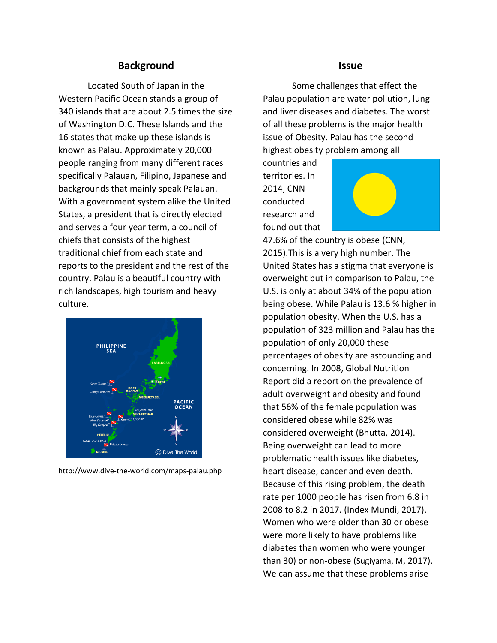## **Background**

Located South of Japan in the Western Pacific Ocean stands a group of 340 islands that are about 2.5 times the size of Washington D.C. These Islands and the 16 states that make up these islands is known as Palau. Approximately 20,000 people ranging from many different races specifically Palauan, Filipino, Japanese and backgrounds that mainly speak Palauan. With a government system alike the United States, a president that is directly elected and serves a four year term, a council of chiefs that consists of the highest traditional chief from each state and reports to the president and the rest of the country. Palau is a beautiful country with rich landscapes, high tourism and heavy culture.



http://www.dive-the-world.com/maps-palau.php

### **Issue**

Some challenges that effect the Palau population are water pollution, lung and liver diseases and diabetes. The worst of all these problems is the major health issue of Obesity. Palau has the second highest obesity problem among all

countries and territories. In 2014, CNN conducted research and found out that



47.6% of the country is obese (CNN, 2015).This is a very high number. The United States has a stigma that everyone is overweight but in comparison to Palau, the U.S. is only at about 34% of the population being obese. While Palau is 13.6 % higher in population obesity. When the U.S. has a population of 323 million and Palau has the population of only 20,000 these percentages of obesity are astounding and concerning. In 2008, Global Nutrition Report did a report on the prevalence of adult overweight and obesity and found that 56% of the female population was considered obese while 82% was considered overweight (Bhutta, 2014). Being overweight can lead to more problematic health issues like diabetes, heart disease, cancer and even death. Because of this rising problem, the death rate per 1000 people has risen from 6.8 in 2008 to 8.2 in 2017. (Index Mundi, 2017). Women who were older than 30 or obese were more likely to have problems like diabetes than women who were younger than 30) or non-obese (Sugiyama, M, 2017). We can assume that these problems arise